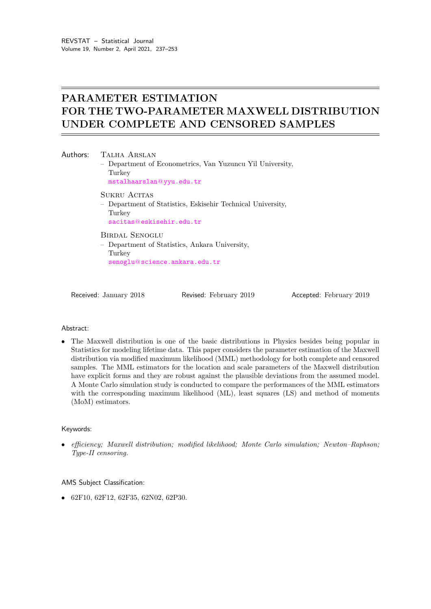# PARAMETER ESTIMATION FOR THE TWO-PARAMETER MAXWELL DISTRIBUTION UNDER COMPLETE AND CENSORED SAMPLES

Authors: TALHA ARSLAN – Department of Econometrics, Van Yuzuncu Yil University, Turkey [mstalhaarslan](mailto:mstalhaarslan@yyu.edu.tr)@yyu.edu.tr SUKRU ACITAS – Department of Statistics, Eskisehir Technical University, Turkey sacitas@[eskisehir.edu.tr](mailto:sacitas@eskisehir.edu.tr) Birdal Senoglu

– Department of Statistics, Ankara University, **Turkey** senoglu@[science.ankara.edu.tr](mailto:senoglu@science.ankara.edu.tr)

Received: January 2018 Revised: February 2019 Accepted: February 2019

## Abstract:

• The Maxwell distribution is one of the basic distributions in Physics besides being popular in Statistics for modeling lifetime data. This paper considers the parameter estimation of the Maxwell distribution via modified maximum likelihood (MML) methodology for both complete and censored samples. The MML estimators for the location and scale parameters of the Maxwell distribution have explicit forms and they are robust against the plausible deviations from the assumed model. A Monte Carlo simulation study is conducted to compare the performances of the MML estimators with the corresponding maximum likelihood (ML), least squares (LS) and method of moments (MoM) estimators.

## Keywords:

• efficiency; Maxwell distribution; modified likelihood; Monte Carlo simulation; Newton–Raphson; Type-II censoring.

## AMS Subject Classification:

• 62F10, 62F12, 62F35, 62N02, 62P30.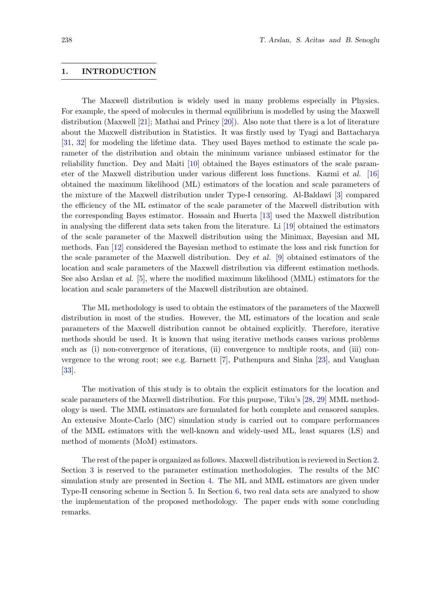### <span id="page-1-0"></span>1. INTRODUCTION

The Maxwell distribution is widely used in many problems especially in Physics. For example, the speed of molecules in thermal equilibrium is modelled by using the Maxwell distribution (Maxwell [\[21\]](#page-16-0); Mathai and Princy [\[20\]](#page-16-1)). Also note that there is a lot of literature about the Maxwell distribution in Statistics. It was firstly used by Tyagi and Battacharya [\[31,](#page-16-2) [32\]](#page-16-3) for modeling the lifetime data. They used Bayes method to estimate the scale parameter of the distribution and obtain the minimum variance unbiased estimator for the reliability function. Dey and Maiti [\[10\]](#page-15-0) obtained the Bayes estimators of the scale parameter of the Maxwell distribution under various different loss functions. Kazmi et al. [\[16\]](#page-15-1) obtained the maximum likelihood (ML) estimators of the location and scale parameters of the mixture of the Maxwell distribution under Type-I censoring. Al-Baldawi [\[3\]](#page-15-2) compared the efficiency of the ML estimator of the scale parameter of the Maxwell distribution with the corresponding Bayes estimator. Hossain and Huerta [\[13\]](#page-15-3) used the Maxwell distribution in analysing the different data sets taken from the literature. Li [\[19\]](#page-16-4) obtained the estimators of the scale parameter of the Maxwell distribution using the Minimax, Bayesian and ML methods. Fan [\[12\]](#page-15-4) considered the Bayesian method to estimate the loss and risk function for the scale parameter of the Maxwell distribution. Dey et al. [\[9\]](#page-15-5) obtained estimators of the location and scale parameters of the Maxwell distribution via different estimation methods. See also Arslan et al. [\[5\]](#page-15-6), where the modified maximum likelihood (MML) estimators for the location and scale parameters of the Maxwell distribution are obtained.

The ML methodology is used to obtain the estimators of the parameters of the Maxwell distribution in most of the studies. However, the ML estimators of the location and scale parameters of the Maxwell distribution cannot be obtained explicitly. Therefore, iterative methods should be used. It is known that using iterative methods causes various problems such as (i) non-convergence of iterations, (ii) convergence to multiple roots, and (iii) convergence to the wrong root; see e.g. Barnett [\[7\]](#page-15-7), Puthenpura and Sinha [\[23\]](#page-16-5), and Vaughan [\[33\]](#page-16-6).

The motivation of this study is to obtain the explicit estimators for the location and scale parameters of the Maxwell distribution. For this purpose, Tiku's [\[28,](#page-16-7) [29\]](#page-16-8) MML methodology is used. The MML estimators are formulated for both complete and censored samples. An extensive Monte-Carlo (MC) simulation study is carried out to compare performances of the MML estimators with the well-known and widely-used ML, least squares (LS) and method of moments (MoM) estimators.

The rest of the paper is organized as follows. Maxwell distribution is reviewed in Section [2.](#page-2-0) Section [3](#page-3-0) is reserved to the parameter estimation methodologies. The results of the MC simulation study are presented in Section [4.](#page-6-0) The ML and MML estimators are given under Type-II censoring scheme in Section [5.](#page-10-0) In Section [6,](#page-12-0) two real data sets are analyzed to show the implementation of the proposed methodology. The paper ends with some concluding remarks.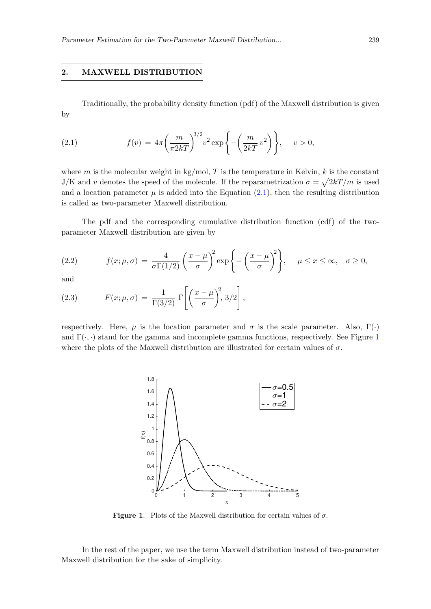## <span id="page-2-0"></span>2. MAXWELL DISTRIBUTION

<span id="page-2-1"></span>Traditionally, the probability density function (pdf) of the Maxwell distribution is given by

(2.1) 
$$
f(v) = 4\pi \left(\frac{m}{\pi 2kT}\right)^{3/2} v^2 \exp\left\{-\left(\frac{m}{2kT}v^2\right)\right\}, \quad v > 0,
$$

where m is the molecular weight in kg/mol, T is the temperature in Kelvin, k is the constant J/K and v denotes the speed of the molecule. If the reparametrization  $\sigma = \sqrt{2kT/m}$  is used and a location parameter  $\mu$  is added into the Equation [\(2.1\)](#page-2-1), then the resulting distribution is called as two-parameter Maxwell distribution.

The pdf and the corresponding cumulative distribution function (cdf) of the twoparameter Maxwell distribution are given by

<span id="page-2-3"></span>(2.2) 
$$
f(x; \mu, \sigma) = \frac{4}{\sigma \Gamma(1/2)} \left(\frac{x-\mu}{\sigma}\right)^2 \exp\left\{-\left(\frac{x-\mu}{\sigma}\right)^2\right\}, \quad \mu \leq x \leq \infty, \quad \sigma \geq 0,
$$

and

<span id="page-2-4"></span>(2.3) 
$$
F(x; \mu, \sigma) = \frac{1}{\Gamma(3/2)} \Gamma\left[\left(\frac{x-\mu}{\sigma}\right)^2, 3/2\right],
$$

<span id="page-2-2"></span>respectively. Here,  $\mu$  is the location parameter and  $\sigma$  is the scale parameter. Also,  $\Gamma(\cdot)$ and  $\Gamma(\cdot, \cdot)$  stand for the gamma and incomplete gamma functions, respectively. See Figure [1](#page-2-2) where the plots of the Maxwell distribution are illustrated for certain values of  $\sigma$ .



**Figure 1:** Plots of the Maxwell distribution for certain values of  $\sigma$ .

In the rest of the paper, we use the term Maxwell distribution instead of two-parameter Maxwell distribution for the sake of simplicity.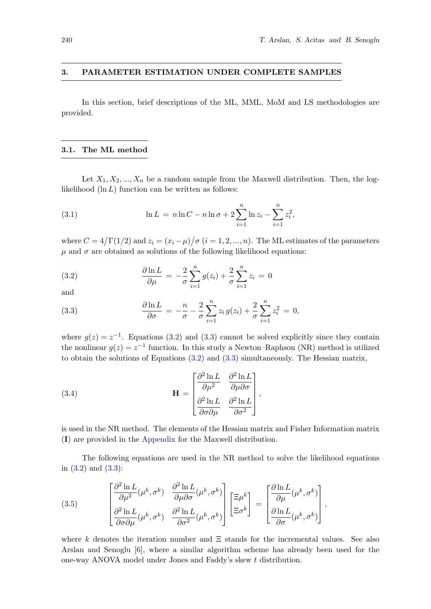#### <span id="page-3-0"></span>3. PARAMETER ESTIMATION UNDER COMPLETE SAMPLES

In this section, brief descriptions of the ML, MML, MoM and LS methodologies are provided.

#### <span id="page-3-3"></span>3.1. The ML method

Let  $X_1, X_2, ..., X_n$  be a random sample from the Maxwell distribution. Then, the loglikelihood  $(\ln L)$  function can be written as follows:

(3.1) 
$$
\ln L = n \ln C - n \ln \sigma + 2 \sum_{i=1}^{n} \ln z_i - \sum_{i=1}^{n} z_i^2,
$$

where  $C = 4/\Gamma(1/2)$  and  $z_i = (x_i - \mu)/\sigma$   $(i = 1, 2, ..., n)$ . The ML estimates of the parameters  $\mu$  and  $\sigma$  are obtained as solutions of the following likelihood equations:

<span id="page-3-1"></span>(3.2) 
$$
\frac{\partial \ln L}{\partial \mu} = -\frac{2}{\sigma} \sum_{i=1}^{n} g(z_i) + \frac{2}{\sigma} \sum_{i=1}^{n} z_i = 0
$$

and

<span id="page-3-2"></span>(3.3) 
$$
\frac{\partial \ln L}{\partial \sigma} = -\frac{n}{\sigma} - \frac{2}{\sigma} \sum_{i=1}^{n} z_i g(z_i) + \frac{2}{\sigma} \sum_{i=1}^{n} z_i^2 = 0,
$$

where  $g(z) = z^{-1}$ . Equations [\(3.2\)](#page-3-1) and [\(3.3\)](#page-3-2) cannot be solved explicitly since they contain the nonlinear  $g(z) = z^{-1}$  function. In this study a Newton–Raphson (NR) method is utilized to obtain the solutions of Equations  $(3.2)$  and  $(3.3)$  simultaneously. The Hessian matrix,

(3.4) 
$$
\mathbf{H} = \begin{bmatrix} \frac{\partial^2 \ln L}{\partial \mu^2} & \frac{\partial^2 \ln L}{\partial \mu \partial \sigma} \\ \frac{\partial^2 \ln L}{\partial \sigma \partial \mu} & \frac{\partial^2 \ln L}{\partial \sigma^2} \end{bmatrix},
$$

is used in the NR method. The elements of the Hessian matrix and Fisher Information matrix (I) are provided in the [Appendix](#page-14-0) for the Maxwell distribution.

The following equations are used in the NR method to solve the likelihood equations in  $(3.2)$  and  $(3.3)$ :

(3.5) 
$$
\begin{bmatrix}\n\frac{\partial^2 \ln L}{\partial \mu^2}(\mu^k, \sigma^k) & \frac{\partial^2 \ln L}{\partial \mu \partial \sigma}(\mu^k, \sigma^k) \\
\frac{\partial^2 \ln L}{\partial \sigma \partial \mu}(\mu^k, \sigma^k) & \frac{\partial^2 \ln L}{\partial \sigma^2}(\mu^k, \sigma^k)\n\end{bmatrix}\n\begin{bmatrix}\n\Xi \mu^k \\
\Xi \sigma^k\n\end{bmatrix} = \begin{bmatrix}\n\frac{\partial \ln L}{\partial \mu}(\mu^k, \sigma^k) \\
\frac{\partial \ln L}{\partial \sigma}(\mu^k, \sigma^k)\n\end{bmatrix},
$$

where k denotes the iteration number and  $\Xi$  stands for the incremental values. See also Arslan and Senoglu [\[6\]](#page-15-8), where a similar algorithm scheme has already been used for the one-way ANOVA model under Jones and Faddy's skew t distribution.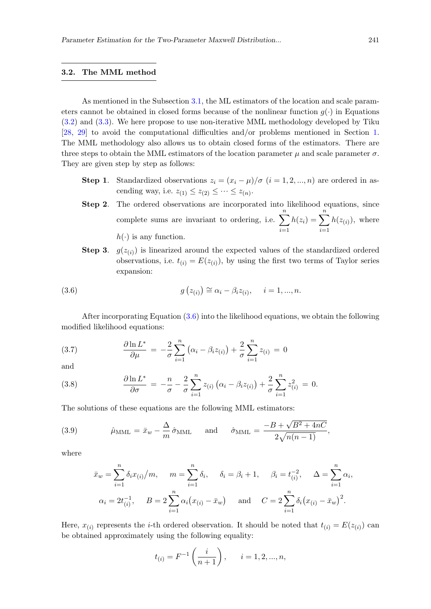#### <span id="page-4-2"></span>3.2. The MML method

As mentioned in the Subsection [3.1,](#page-3-3) the ML estimators of the location and scale parameters cannot be obtained in closed forms because of the nonlinear function  $g(\cdot)$  in Equations [\(3.2\)](#page-3-1) and [\(3.3\)](#page-3-2). We here propose to use non-iterative MML methodology developed by Tiku [\[28,](#page-16-7) [29\]](#page-16-8) to avoid the computational difficulties and/or problems mentioned in Section [1.](#page-1-0) The MML methodology also allows us to obtain closed forms of the estimators. There are three steps to obtain the MML estimators of the location parameter  $\mu$  and scale parameter  $\sigma$ . They are given step by step as follows:

- Step 1. Standardized observations  $z_i = (x_i \mu)/\sigma$   $(i = 1, 2, ..., n)$  are ordered in ascending way, i.e.  $z_{(1)} \leq z_{(2)} \leq \cdots \leq z_{(n)}$ .
- Step 2. The ordered observations are incorporated into likelihood equations, since complete sums are invariant to ordering, i.e.  $\sum_{n=1}^{\infty}$  $i=1$  $h(z_i) = \sum_{i=1}^{n}$  $i=1$  $h(z_{(i)})$ , where  $h(\cdot)$  is any function.
- **Step 3.**  $g(z_{(i)})$  is linearized around the expected values of the standardized ordered observations, i.e.  $t_{(i)} = E(z_{(i)})$ , by using the first two terms of Taylor series expansion:

<span id="page-4-0"></span>(3.6) 
$$
g(z_{(i)}) \cong \alpha_i - \beta_i z_{(i)}, \quad i = 1, ..., n.
$$

After incorporating Equation [\(3.6\)](#page-4-0) into the likelihood equations, we obtain the following modified likelihood equations:

<span id="page-4-1"></span>(3.7) 
$$
\frac{\partial \ln L^*}{\partial \mu} = -\frac{2}{\sigma} \sum_{i=1}^n (\alpha_i - \beta_i z_{(i)}) + \frac{2}{\sigma} \sum_{i=1}^n z_{(i)} = 0
$$

and

(3.8) 
$$
\frac{\partial \ln L^*}{\partial \sigma} = -\frac{n}{\sigma} - \frac{2}{\sigma} \sum_{i=1}^n z_{(i)} (\alpha_i - \beta_i z_{(i)}) + \frac{2}{\sigma} \sum_{i=1}^n z_{(i)}^2 = 0.
$$

The solutions of these equations are the following MML estimators:

(3.9) 
$$
\hat{\mu}_{\text{MML}} = \bar{x}_{w} - \frac{\Delta}{m} \hat{\sigma}_{\text{MML}} \quad \text{and} \quad \hat{\sigma}_{\text{MML}} = \frac{-B + \sqrt{B^2 + 4nC}}{2\sqrt{n(n-1)}},
$$

where

$$
\bar{x}_w = \sum_{i=1}^n \delta_i x_{(i)}/m, \quad m = \sum_{i=1}^n \delta_i, \quad \delta_i = \beta_i + 1, \quad \beta_i = t_{(i)}^{-2}, \quad \Delta = \sum_{i=1}^n \alpha_i,
$$
  

$$
\alpha_i = 2t_{(i)}^{-1}, \quad B = 2\sum_{i=1}^n \alpha_i (x_{(i)} - \bar{x}_w) \quad \text{and} \quad C = 2\sum_{i=1}^n \delta_i (x_{(i)} - \bar{x}_w)^2.
$$

Here,  $x_{(i)}$  represents the *i*-th ordered observation. It should be noted that  $t_{(i)} = E(z_{(i)})$  can be obtained approximately using the following equality:

$$
t_{(i)} = F^{-1}\left(\frac{i}{n+1}\right), \quad i = 1, 2, ..., n,
$$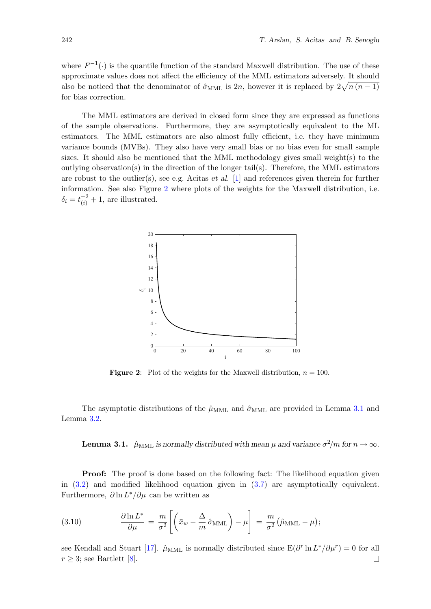where  $F^{-1}(\cdot)$  is the quantile function of the standard Maxwell distribution. The use of these approximate values does not affect the efficiency of the MML estimators adversely. It should also be noticed that the denominator of  $\hat{\sigma}_{\text{MML}}$  is 2n, however it is replaced by  $2\sqrt{n(n-1)}$ for bias correction.

The MML estimators are derived in closed form since they are expressed as functions of the sample observations. Furthermore, they are asymptotically equivalent to the ML estimators. The MML estimators are also almost fully efficient, i.e. they have minimum variance bounds (MVBs). They also have very small bias or no bias even for small sample sizes. It should also be mentioned that the MML methodology gives small weight(s) to the outlying observation(s) in the direction of the longer tail(s). Therefore, the MML estimators are robust to the outlier(s), see e.g. Acitas et al. [\[1\]](#page-15-9) and references given therein for further information. See also Figure [2](#page-5-0) where plots of the weights for the Maxwell distribution, i.e.  $\delta_i = t_{(i)}^{-2} + 1$ , are illustrated.

<span id="page-5-0"></span>

**Figure 2:** Plot of the weights for the Maxwell distribution,  $n = 100$ .

<span id="page-5-1"></span>The asymptotic distributions of the  $\hat{\mu}_{\text{MML}}$  and  $\hat{\sigma}_{\text{MML}}$  are provided in Lemma [3.1](#page-5-1) and Lemma [3.2.](#page-6-1)

**Lemma 3.1.**  $\hat{\mu}_{\text{MML}}$  is normally distributed with mean  $\mu$  and variance  $\sigma^2/m$  for  $n\to\infty.$ 

**Proof:** The proof is done based on the following fact: The likelihood equation given in [\(3.2\)](#page-3-1) and modified likelihood equation given in [\(3.7\)](#page-4-1) are asymptotically equivalent. Furthermore,  $\partial \ln L^* / \partial \mu$  can be written as

(3.10) 
$$
\frac{\partial \ln L^*}{\partial \mu} = \frac{m}{\sigma^2} \left[ \left( \bar{x}_w - \frac{\Delta}{m} \hat{\sigma}_{\text{MML}} \right) - \mu \right] = \frac{m}{\sigma^2} \left( \hat{\mu}_{\text{MML}} - \mu \right);
$$

see Kendall and Stuart [\[17\]](#page-15-10).  $\hat{\mu}_{\text{MML}}$  is normally distributed since  $E(\partial^r \ln L^* / \partial \mu^r) = 0$  for all  $r \geq 3$ ; see Bartlett [\[8\]](#page-15-11).  $\Box$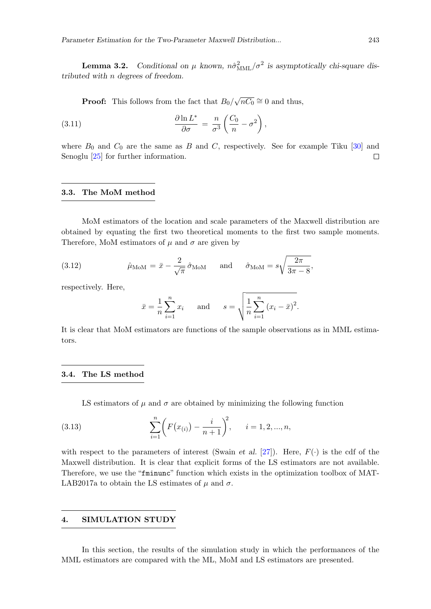<span id="page-6-1"></span>**Lemma 3.2.** Conditional on  $\mu$  known,  $n\hat{\sigma}_{\text{MML}}^2/\sigma^2$  is asymptotically chi-square distributed with n degrees of freedom.

**Proof:** This follows from the fact that  $B_0/$ √  $\overline{nC_0} \cong 0$  and thus,

(3.11) 
$$
\frac{\partial \ln L^*}{\partial \sigma} = \frac{n}{\sigma^3} \left( \frac{C_0}{n} - \sigma^2 \right),
$$

where  $B_0$  and  $C_0$  are the same as B and C, respectively. See for example Tiku [\[30\]](#page-16-9) and Senoglu [\[25\]](#page-16-10) for further information.  $\Box$ 

#### 3.3. The MoM method

MoM estimators of the location and scale parameters of the Maxwell distribution are obtained by equating the first two theoretical moments to the first two sample moments. Therefore, MoM estimators of  $\mu$  and  $\sigma$  are given by

(3.12) 
$$
\hat{\mu}_{\text{MoM}} = \bar{x} - \frac{2}{\sqrt{\pi}} \hat{\sigma}_{\text{MoM}} \quad \text{and} \quad \hat{\sigma}_{\text{MoM}} = s \sqrt{\frac{2\pi}{3\pi - 8}},
$$

respectively. Here,

$$
\bar{x} = \frac{1}{n} \sum_{i=1}^{n} x_i
$$
 and  $s = \sqrt{\frac{1}{n} \sum_{i=1}^{n} (x_i - \bar{x})^2}.$ 

It is clear that MoM estimators are functions of the sample observations as in MML estimators.

#### 3.4. The LS method

LS estimators of  $\mu$  and  $\sigma$  are obtained by minimizing the following function

(3.13) 
$$
\sum_{i=1}^{n} \left( F(x_{(i)}) - \frac{i}{n+1} \right)^2, \quad i = 1, 2, ..., n,
$$

with respect to the parameters of interest (Swain *et al.* [\[27\]](#page-16-11)). Here,  $F(\cdot)$  is the cdf of the Maxwell distribution. It is clear that explicit forms of the LS estimators are not available. Therefore, we use the "fminunc" function which exists in the optimization toolbox of MAT-LAB2017a to obtain the LS estimates of  $\mu$  and  $\sigma$ .

## <span id="page-6-0"></span>4. SIMULATION STUDY

In this section, the results of the simulation study in which the performances of the MML estimators are compared with the ML, MoM and LS estimators are presented.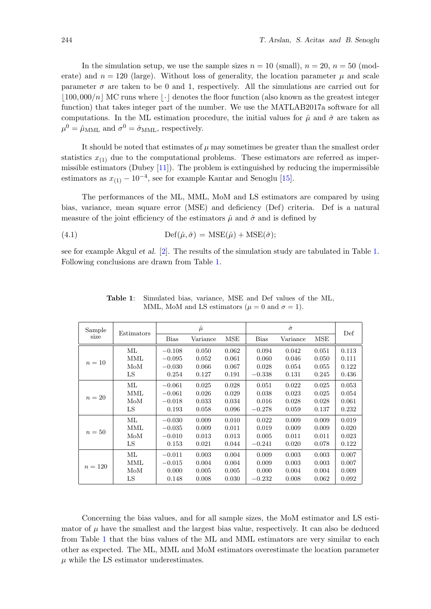In the simulation setup, we use the sample sizes  $n = 10$  (small),  $n = 20$ ,  $n = 50$  (moderate) and  $n = 120$  (large). Without loss of generality, the location parameter  $\mu$  and scale parameter  $\sigma$  are taken to be 0 and 1, respectively. All the simulations are carried out for  $\vert100,000/n\vert$  MC runs where  $\vert\cdot\vert$  denotes the floor function (also known as the greatest integer function) that takes integer part of the number. We use the MATLAB2017a software for all computations. In the ML estimation procedure, the initial values for  $\hat{\mu}$  and  $\hat{\sigma}$  are taken as  $\mu^0 = \hat{\mu}_{\rm MML}$  and  $\sigma^0 = \hat{\sigma}_{\rm MML}$ , respectively.

It should be noted that estimates of  $\mu$  may sometimes be greater than the smallest order statistics  $x_{(1)}$  due to the computational problems. These estimators are referred as impermissible estimators (Dubey  $[11]$ ). The problem is extinguished by reducing the impermissible estimators as  $x_{(1)} - 10^{-4}$ , see for example Kantar and Senoglu [\[15\]](#page-15-13).

The performances of the ML, MML, MoM and LS estimators are compared by using bias, variance, mean square error (MSE) and deficiency (Def) criteria. Def is a natural measure of the joint efficiency of the estimators  $\hat{\mu}$  and  $\hat{\sigma}$  and is defined by

(4.1) 
$$
\mathrm{Def}(\hat{\mu}, \hat{\sigma}) = \mathrm{MSE}(\hat{\mu}) + \mathrm{MSE}(\hat{\sigma});
$$

<span id="page-7-0"></span>see for example Akgul et al. [\[2\]](#page-15-14). The results of the simulation study are tabulated in Table [1.](#page-7-0) Following conclusions are drawn from Table [1.](#page-7-0)

| Sample    |                 | $\hat{\mu}$ |          |            |             |          |       |       |
|-----------|-----------------|-------------|----------|------------|-------------|----------|-------|-------|
| size      | Estimators      | <b>Bias</b> | Variance | <b>MSE</b> | <b>Bias</b> | Variance | MSE   | Def   |
|           | $\rm ML$        | $-0.108$    | 0.050    | 0.062      | 0.094       | 0.042    | 0.051 | 0.113 |
|           | MML             | $-0.095$    | 0.052    | 0.061      | 0.060       | 0.046    | 0.050 | 0.111 |
| $n=10$    | MoM             | $-0.030$    | 0.066    | 0.067      | 0.028       | 0.054    | 0.055 | 0.122 |
|           | LS              | 0.254       | 0.127    | 0.191      | $-0.338$    | 0.131    | 0.245 | 0.436 |
| $n=20$    | $\rm ML$        | $-0.061$    | 0.025    | 0.028      | 0.051       | 0.022    | 0.025 | 0.053 |
|           | MML             | $-0.061$    | 0.026    | 0.029      | 0.038       | 0.023    | 0.025 | 0.054 |
|           | $_{\text{MoM}}$ | $-0.018$    | 0.033    | 0.034      | 0.016       | 0.028    | 0.028 | 0.061 |
|           | LS              | 0.193       | 0.058    | 0.096      | $-0.278$    | 0.059    | 0.137 | 0.232 |
|           | ML              | $-0.030$    | 0.009    | 0.010      | 0.022       | 0.009    | 0.009 | 0.019 |
| $n=50$    | MML             | $-0.035$    | 0.009    | 0.011      | 0.019       | 0.009    | 0.009 | 0.020 |
|           | $_{\text{MoM}}$ | $-0.010$    | 0.013    | 0.013      | 0.005       | 0.011    | 0.011 | 0.023 |
|           | LS              | 0.153       | 0.021    | 0.044      | $-0.241$    | 0.020    | 0.078 | 0.122 |
|           | ML              | $-0.011$    | 0.003    | 0.004      | 0.009       | 0.003    | 0.003 | 0.007 |
|           | MML             | $-0.015$    | 0.004    | 0.004      | 0.009       | 0.003    | 0.003 | 0.007 |
| $n = 120$ | $_{\text{MoM}}$ | 0.000       | 0.005    | 0.005      | 0.000       | 0.004    | 0.004 | 0.009 |
|           | LS              | 0.148       | 0.008    | 0.030      | $-0.232$    | 0.008    | 0.062 | 0.092 |

Table 1: Simulated bias, variance, MSE and Def values of the ML, MML, MoM and LS estimators ( $\mu = 0$  and  $\sigma = 1$ ).

Concerning the bias values, and for all sample sizes, the MoM estimator and LS estimator of  $\mu$  have the smallest and the largest bias value, respectively. It can also be deduced from Table [1](#page-7-0) that the bias values of the ML and MML estimators are very similar to each other as expected. The ML, MML and MoM estimators overestimate the location parameter  $\mu$  while the LS estimator underestimates.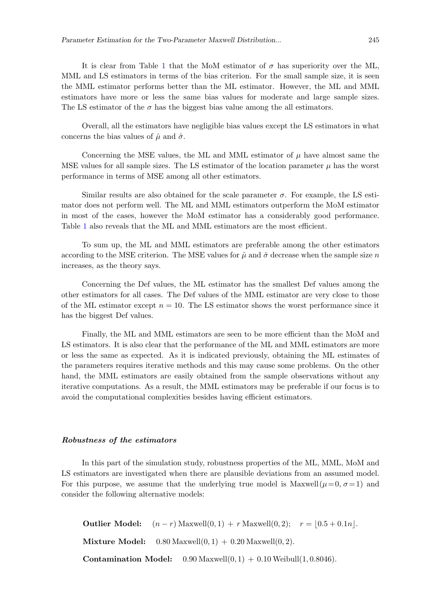It is clear from Table [1](#page-7-0) that the MoM estimator of  $\sigma$  has superiority over the ML, MML and LS estimators in terms of the bias criterion. For the small sample size, it is seen the MML estimator performs better than the ML estimator. However, the ML and MML estimators have more or less the same bias values for moderate and large sample sizes. The LS estimator of the  $\sigma$  has the biggest bias value among the all estimators.

Overall, all the estimators have negligible bias values except the LS estimators in what concerns the bias values of  $\hat{\mu}$  and  $\hat{\sigma}$ .

Concerning the MSE values, the ML and MML estimator of  $\mu$  have almost same the MSE values for all sample sizes. The LS estimator of the location parameter  $\mu$  has the worst performance in terms of MSE among all other estimators.

Similar results are also obtained for the scale parameter  $\sigma$ . For example, the LS estimator does not perform well. The ML and MML estimators outperform the MoM estimator in most of the cases, however the MoM estimator has a considerably good performance. Table [1](#page-7-0) also reveals that the ML and MML estimators are the most efficient.

To sum up, the ML and MML estimators are preferable among the other estimators according to the MSE criterion. The MSE values for  $\hat{\mu}$  and  $\hat{\sigma}$  decrease when the sample size n increases, as the theory says.

Concerning the Def values, the ML estimator has the smallest Def values among the other estimators for all cases. The Def values of the MML estimator are very close to those of the ML estimator except  $n = 10$ . The LS estimator shows the worst performance since it has the biggest Def values.

Finally, the ML and MML estimators are seen to be more efficient than the MoM and LS estimators. It is also clear that the performance of the ML and MML estimators are more or less the same as expected. As it is indicated previously, obtaining the ML estimates of the parameters requires iterative methods and this may cause some problems. On the other hand, the MML estimators are easily obtained from the sample observations without any iterative computations. As a result, the MML estimators may be preferable if our focus is to avoid the computational complexities besides having efficient estimators.

### Robustness of the estimators

In this part of the simulation study, robustness properties of the ML, MML, MoM and LS estimators are investigated when there are plausible deviations from an assumed model. For this purpose, we assume that the underlying true model is Maxwell( $\mu=0, \sigma=1$ ) and consider the following alternative models:

**Outlier Model:**  $(n - r)$  Maxwell $(0, 1) + r$  Maxwell $(0, 2)$ ;  $r = |0.5 + 0.1n|$ . **Mixture Model:**  $0.80$  Maxwell $(0, 1) + 0.20$  Maxwell $(0, 2)$ . **Contamination Model:**  $0.90$  Maxwell $(0, 1) + 0.10$  Weibull $(1, 0.8046)$ .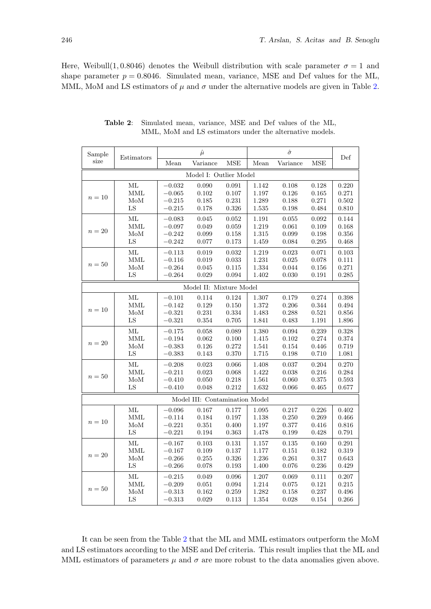<span id="page-9-0"></span>Here, Weibull(1,0.8046) denotes the Weibull distribution with scale parameter  $\sigma = 1$  and shape parameter  $p = 0.8046$ . Simulated mean, variance, MSE and Def values for the ML, MML, MoM and LS estimators of  $\mu$  and  $\sigma$  under the alternative models are given in Table [2.](#page-9-0)

| Sample | Estimators       |                      | $\hat{\mu}$                    |                      |                | $\hat{\sigma}$ |                | Def            |
|--------|------------------|----------------------|--------------------------------|----------------------|----------------|----------------|----------------|----------------|
| size   |                  | Mean                 | Variance                       | <b>MSE</b>           | Mean           | Variance       | MSE            |                |
|        |                  |                      | Model I: Outlier Model         |                      |                |                |                |                |
|        | ML               | $-0.032$             | 0.090                          | 0.091                | 1.142          | 0.108          | 0.128          | 0.220          |
| $n=10$ | MML              | $-0.065$             | 0.102                          | 0.107                | 1.197          | 0.126          | 0.165          | 0.271          |
|        | $_{\text{MoM}}$  | $-0.215$             | 0.185                          | 0.231                | 1.289          | 0.188          | 0.271          | 0.502          |
|        | LS               | $-0.215$             | 0.178                          | 0.326                | 1.535          | 0.198          | 0.484          | 0.810          |
|        | ML               | $-0.083$             | 0.045                          | 0.052                | 1.191          | 0.055          | 0.092          | 0.144          |
| $n=20$ | MML              | $-0.097$             | 0.049                          | 0.059                | 1.219          | 0.061          | 0.109          | 0.168          |
|        | $_{\text{MoM}}$  | $-0.242$             | 0.099                          | $0.158\,$            | 1.315          | 0.099          | 0.198          | 0.356          |
|        | ${\rm LS}$       | $-0.242$             | 0.077                          | 0.173                | 1.459          | 0.084          | 0.295          | 0.468          |
|        | ML               | $-0.113$             | 0.019                          | 0.032                | 1.219          | 0.023          | 0.071          | 0.103          |
|        | MML              | $-0.116$             | 0.019                          | 0.033                | 1.231          | 0.025          | 0.078          | 0.111          |
| $n=50$ | $_{\text{MoM}}$  | $-0.264$             | 0.045                          | 0.115                | 1.334          | 0.044          | 0.156          | 0.271          |
|        | LS               | $-0.264$             | 0.029                          | 0.094                | 1.402          | 0.030          | 0.191          | 0.285          |
|        |                  |                      | Model II: Mixture Model        |                      |                |                |                |                |
|        | ML               | $-0.101$             | 0.114                          | 0.124                | 1.307          | 0.179          | 0.274          | 0.398          |
| $n=10$ | MML              | $-0.142$             | 0.129                          | 0.150                | 1.372          | 0.206          | 0.344          | 0.494          |
|        | MoM              | $-0.321$             | 0.231                          | 0.334                | 1.483          | 0.288          | 0.521          | 0.856          |
|        | ${\rm LS}$       | $-0.321$             | $\,0.354\,$                    | 0.705                | 1.841          | 0.483          | 1.191          | 1.896          |
|        | ML               | $-0.175$             | 0.058                          | 0.089                | 1.380          | 0.094          | 0.239          | 0.328          |
|        | MML              | $-0.194$             | 0.062                          | 0.100                | 1.415          | 0.102          | 0.274          | 0.374          |
| $n=20$ | MoM              | $-0.383$             | 0.126                          | 0.272                | 1.541          | 0.154          | 0.446          | 0.719          |
|        | LS               | $-0.383$             | 0.143                          | 0.370                | 1.715          | 0.198          | 0.710          | 1.081          |
|        |                  |                      |                                |                      |                |                |                |                |
|        | ML<br><b>MML</b> | $-0.208$             | 0.023                          | 0.066                | 1.408          | 0.037          | 0.204          | 0.270          |
| $n=50$ | $\rm MoM$        | $-0.211$             | 0.023                          | $\,0.068\,$<br>0.218 | 1.422          | 0.038          | 0.216<br>0.375 | 0.284<br>0.593 |
|        | LS               | $-0.410$<br>$-0.410$ | 0.050<br>0.048                 | 0.212                | 1.561<br>1.632 | 0.060<br>0.066 | 0.465          | 0.677          |
|        |                  |                      |                                |                      |                |                |                |                |
|        |                  |                      | Model III: Contamination Model |                      |                |                |                |                |
|        | ML               | $-0.096$             | 0.167                          | 0.177                | 1.095          | 0.217          | 0.226          | 0.402          |
| $n=10$ | MML              | $-0.114$             | 0.184                          | 0.197                | 1.138          | 0.250          | 0.269          | 0.466          |
|        | $_{\text{MoM}}$  | $-0.221$             | 0.351                          | 0.400                | 1.197          | 0.377          | 0.416          | 0.816          |
|        | LS               | $-0.221$             | 0.194                          | 0.363                | 1.478          | 0.199          | 0.428          | 0.791          |
|        | ML               | $-0.167$             | 0.103                          | 0.131                | 1.157          | 0.135          | 0.160          | 0.291          |
|        | <b>MML</b>       | $-0.167$             | 0.109                          | 0.137                | 1.177          | 0.151          | 0.182          | 0.319          |
| $n=20$ | $_{\text{MoM}}$  | $-0.266$             | 0.255                          | 0.326                | 1.236          | 0.261          | 0.317          | 0.643          |
|        | LS               | $-0.266$             | 0.078                          | 0.193                | 1.400          | 0.076          | 0.236          | 0.429          |
|        | ML               | $-0.215$             | 0.049                          | 0.096                | 1.207          | 0.069          | 0.111          | 0.207          |
|        | <b>MML</b>       | $-0.209$             | 0.051                          | 0.094                | 1.214          | 0.075          | 0.121          | 0.215          |
| $n=50$ | MoM              | $-0.313$             | 0.162                          | 0.259                | 1.282          | 0.158          | 0.237          | 0.496          |
|        | $_{\rm LS}$      | $-0.313$             | 0.029                          | 0.113                | 1.354          | 0.028          | 0.154          | 0.266          |

Table 2: Simulated mean, variance, MSE and Def values of the ML, MML, MoM and LS estimators under the alternative models.

It can be seen from the Table [2](#page-9-0) that the ML and MML estimators outperform the MoM and LS estimators according to the MSE and Def criteria. This result implies that the ML and MML estimators of parameters  $\mu$  and  $\sigma$  are more robust to the data anomalies given above.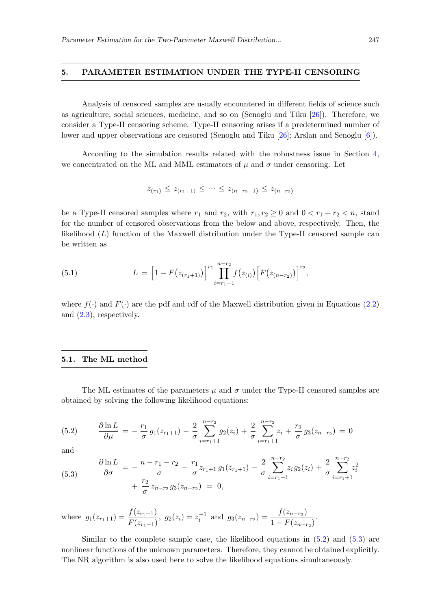#### <span id="page-10-0"></span>5. PARAMETER ESTIMATION UNDER THE TYPE-II CENSORING

Analysis of censored samples are usually encountered in different fields of science such as agriculture, social sciences, medicine, and so on (Senoglu and Tiku [\[26\]](#page-16-12)). Therefore, we consider a Type-II censoring scheme. Type-II censoring arises if a predetermined number of lower and upper observations are censored (Senoglu and Tiku [\[26\]](#page-16-12); Arslan and Senoglu [\[6\]](#page-15-8)).

According to the simulation results related with the robustness issue in Section [4,](#page-6-0) we concentrated on the ML and MML estimators of  $\mu$  and  $\sigma$  under censoring. Let

$$
z_{(r_1)} \leq z_{(r_1+1)} \leq \cdots \leq z_{(n-r_2-1)} \leq z_{(n-r_2)}
$$

be a Type-II censored samples where  $r_1$  and  $r_2$ , with  $r_1, r_2 \geq 0$  and  $0 < r_1 + r_2 < n$ , stand for the number of censored observations from the below and above, respectively. Then, the likelihood (L) function of the Maxwell distribution under the Type-II censored sample can be written as

(5.1) 
$$
L = \left[1 - F(z_{(r_1+1)})\right]^{r_1} \prod_{i=r_1+1}^{n-r_2} f(z_{(i)}) \left[F(z_{(n-r_2)})\right]^{r_2},
$$

where  $f(\cdot)$  and  $F(\cdot)$  are the pdf and cdf of the Maxwell distribution given in Equations [\(2.2\)](#page-2-3) and [\(2.3\)](#page-2-4), respectively.

#### 5.1. The ML method

The ML estimates of the parameters  $\mu$  and  $\sigma$  under the Type-II censored samples are obtained by solving the following likelihood equations:

<span id="page-10-1"></span>(5.2) 
$$
\frac{\partial \ln L}{\partial \mu} = -\frac{r_1}{\sigma} g_1(z_{r_1+1}) - \frac{2}{\sigma} \sum_{i=r_1+1}^{n-r_2} g_2(z_i) + \frac{2}{\sigma} \sum_{i=r_1+1}^{n-r_2} z_i + \frac{r_2}{\sigma} g_3(z_{n-r_2}) = 0
$$

and

<span id="page-10-2"></span>(5.3) 
$$
\frac{\partial \ln L}{\partial \sigma} = -\frac{n - r_1 - r_2}{\sigma} - \frac{r_1}{\sigma} z_{r_1+1} g_1(z_{r_1+1}) - \frac{2}{\sigma} \sum_{i=r_1+1}^{n-r_2} z_i g_2(z_i) + \frac{2}{\sigma} \sum_{i=r_1+1}^{n-r_2} z_i^2 + \frac{r_2}{\sigma} z_{n-r_2} g_3(z_{n-r_2}) = 0,
$$

where 
$$
g_1(z_{r_1+1}) = \frac{f(z_{r_1+1})}{F(z_{r_1+1})}
$$
,  $g_2(z_i) = z_i^{-1}$  and  $g_3(z_{n-r_2}) = \frac{f(z_{n-r_2})}{1 - F(z_{n-r_2})}$ .

Similar to the complete sample case, the likelihood equations in  $(5.2)$  and  $(5.3)$  are nonlinear functions of the unknown parameters. Therefore, they cannot be obtained explicitly. The NR algorithm is also used here to solve the likelihood equations simultaneously.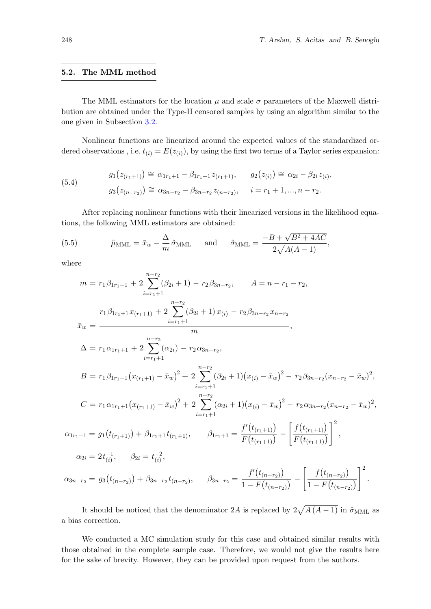#### 5.2. The MML method

The MML estimators for the location  $\mu$  and scale  $\sigma$  parameters of the Maxwell distribution are obtained under the Type-II censored samples by using an algorithm similar to the one given in Subsection [3.2.](#page-4-2)

Nonlinear functions are linearized around the expected values of the standardized ordered observations, i.e.  $t_{(i)} = E(z_{(i)})$ , by using the first two terms of a Taylor series expansion:

(5.4) 
$$
g_1(z_{(r_1+1)}) \cong \alpha_{1r_1+1} - \beta_{1r_1+1} z_{(r_1+1)}, \qquad g_2(z_{(i)}) \cong \alpha_{2i} - \beta_{2i} z_{(i)},
$$

$$
g_3(z_{(n-r_2)}) \cong \alpha_{3n-r_2} - \beta_{3n-r_2} z_{(n-r_2)}, \qquad i = r_1 + 1, ..., n - r_2.
$$

After replacing nonlinear functions with their linearized versions in the likelihood equations, the following MML estimators are obtained:

(5.5) 
$$
\hat{\mu}_{\text{MML}} = \bar{x}_{w} - \frac{\Delta}{m} \hat{\sigma}_{\text{MML}} \quad \text{and} \quad \hat{\sigma}_{\text{MML}} = \frac{-B + \sqrt{B^2 + 4AC}}{2\sqrt{A(A-1)}},
$$

where

$$
m = r_1 \beta_{1r_1+1} + 2 \sum_{i=r_1+1}^{n-r_2} (\beta_{2i} + 1) - r_2 \beta_{3n-r_2}, \qquad A = n - r_1 - r_2,
$$
  
\n
$$
r_1 \beta_{1r_1+1} x_{(r_1+1)} + 2 \sum_{i=r_1+1}^{n-r_2} (\beta_{2i} + 1) x_{(i)} - r_2 \beta_{3n-r_2} x_{n-r_2}
$$
  
\n
$$
\bar{x}_w = \frac{m}{m},
$$
  
\n
$$
\Delta = r_1 \alpha_{1r_1+1} + 2 \sum_{i=r_1+1}^{n-r_2} (\alpha_{2i}) - r_2 \alpha_{3n-r_2},
$$
  
\n
$$
B = r_1 \beta_{1r_1+1} (x_{(r_1+1)} - \bar{x}_w)^2 + 2 \sum_{i=r_1+1}^{n-r_2} (\beta_{2i} + 1) (x_{(i)} - \bar{x}_w)^2 - r_2 \beta_{3n-r_2} (x_{n-r_2} - \bar{x}_w)^2,
$$
  
\n
$$
C = r_1 \alpha_{1r_1+1} (x_{(r_1+1)} - \bar{x}_w)^2 + 2 \sum_{i=r_1+1}^{n-r_2} (\alpha_{2i} + 1) (x_{(i)} - \bar{x}_w)^2 - r_2 \alpha_{3n-r_2} (x_{n-r_2} - \bar{x}_w)^2,
$$
  
\n
$$
\alpha_{1r_1+1} = g_1(t_{(r_1+1)}) + \beta_{1r_1+1} t_{(r_1+1)}, \qquad \beta_{1r_1+1} = \frac{f'(t_{(r_1+1)})}{F(t_{(r_1+1)})} - \left[ \frac{f(t_{(r_1+1)})}{F(t_{(r_1+1)})} \right]^2,
$$
  
\n
$$
\alpha_{2i} = 2t_{(i)}^{-1}, \qquad \beta_{2i} = t_{(i)}^{-2},
$$
  
\n
$$
\alpha_{3n-r_2} = g_3(t_{(n-r_2)}) + \beta_{3n-r_2} t_{(n-r_2)}, \qquad \beta_{3n-r_2} = \frac{f'(t_{(n-r_2)})}{1 - F(t_{(n-r_2)})} - \left[ \frac{f(t_{(n-r_2)})
$$

It should be noticed that the denominator 2A is replaced by  $2\sqrt{A(A-1)}$  in  $\hat{\sigma}_{\text{MML}}$  as a bias correction.

We conducted a MC simulation study for this case and obtained similar results with those obtained in the complete sample case. Therefore, we would not give the results here for the sake of brevity. However, they can be provided upon request from the authors.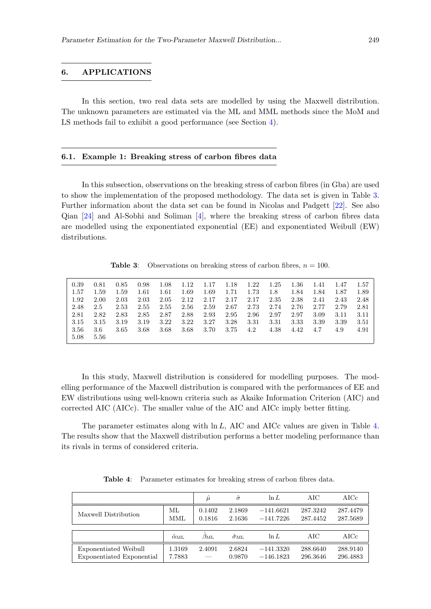## <span id="page-12-0"></span>6. APPLICATIONS

In this section, two real data sets are modelled by using the Maxwell distribution. The unknown parameters are estimated via the ML and MML methods since the MoM and LS methods fail to exhibit a good performance (see Section [4\)](#page-6-0).

### 6.1. Example 1: Breaking stress of carbon fibres data

In this subsection, observations on the breaking stress of carbon fibres (in Gba) are used to show the implementation of the proposed methodology. The data set is given in Table [3.](#page-12-1) Further information about the data set can be found in Nicolas and Padgett [\[22\]](#page-16-13). See also Qian [\[24\]](#page-16-14) and Al-Sobhi and Soliman [\[4\]](#page-15-15), where the breaking stress of carbon fibres data are modelled using the exponentiated exponential (EE) and exponentiated Weibull (EW) distributions.

**Table 3:** Observations on breaking stress of carbon fibres,  $n = 100$ .

<span id="page-12-1"></span>

| 0.39  | 0.81 | 0.85 | 0.98 | 1.08 | 1.12 | 1.17 | 1.18 | 1.22 | 1.25 | $1.36\,$ | 1.41 | 1.47 | 1.57 |
|-------|------|------|------|------|------|------|------|------|------|----------|------|------|------|
| -1.57 | 1.59 | 1.59 | 1.61 | 1.61 | 1.69 | 1.69 | 1.71 | 1.73 | 1.8  | 1.84     | 1.84 | 1.87 | 1.89 |
| 1.92  | 2.00 | 2.03 | 2.03 | 2.05 | 2.12 | 2.17 | 2.17 | 2.17 | 2.35 | 2.38     | 2.41 | 2.43 | 2.48 |
| 2.48  | 2.5  | 2.53 | 2.55 | 2.55 | 2.56 | 2.59 | 2.67 | 2.73 | 2.74 | 2.76     | 2.77 | 2.79 | 2.81 |
| 2.81  | 2.82 | 2.83 | 2.85 | 2.87 | 2.88 | 2.93 | 2.95 | 2.96 | 2.97 | 2.97     | 3.09 | 3.11 | 3.11 |
| 3.15  | 3.15 | 3.19 | 3.19 | 3.22 | 3.22 | 3.27 | 3.28 | 3.31 | 3.31 | 3.33     | 3.39 | 3.39 | 3.51 |
| 3.56  | 3.6  | 3.65 | 3.68 | 3.68 | 3.68 | 3.70 | 3.75 | 4.2  | 4.38 | 4.42     | 4.7  | 4.9  | 4.91 |
| 5.08  | 5.56 |      |      |      |      |      |      |      |      |          |      |      |      |

In this study, Maxwell distribution is considered for modelling purposes. The modelling performance of the Maxwell distribution is compared with the performances of EE and EW distributions using well-known criteria such as Akaike Information Criterion (AIC) and corrected AIC (AICc). The smaller value of the AIC and AICc imply better fitting.

<span id="page-12-2"></span>The parameter estimates along with  $\ln L$ , AIC and AICc values are given in Table [4.](#page-12-2) The results show that the Maxwell distribution performs a better modeling performance than its rivals in terms of considered criteria.

|                                                    |                     | $\hat{\mu}$      | $\hat{\sigma}$    | $\ln L$                    | AIC.                 | $\rm AICc$           |
|----------------------------------------------------|---------------------|------------------|-------------------|----------------------------|----------------------|----------------------|
| Maxwell Distribution                               | ML.<br>MML          | 0.1402<br>0.1816 | 2.1869<br>2.1636  | $-141.6621$<br>$-141.7226$ | 287.3242<br>287.4452 | 287.4479<br>287.5689 |
|                                                    |                     |                  |                   |                            |                      |                      |
|                                                    | $\hat{\alpha}_{ML}$ | $\beta_{\rm ML}$ | $\sigma_{\rm ML}$ | $\ln L$                    | AIC.                 | $\rm AICc$           |
| Exponentiated Weibull<br>Exponentiated Exponential | 1.3169<br>7.7883    | 2.4091           | 2.6824<br>0.9870  | $-141.3320$<br>$-146.1823$ | 288.6640<br>296.3646 | 288.9140<br>296.4883 |

Table 4: Parameter estimates for breaking stress of carbon fibres data.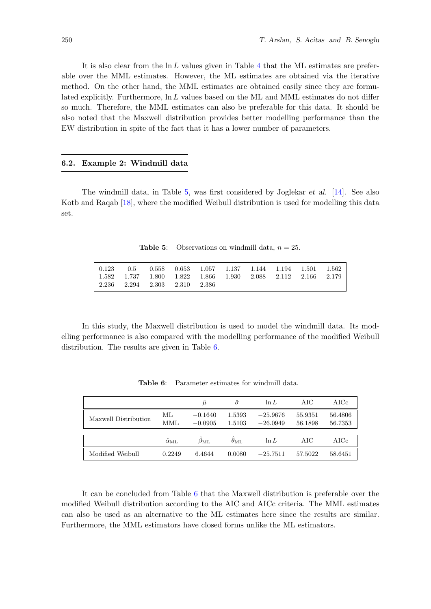It is also clear from the  $\ln L$  values given in Table [4](#page-12-2) that the ML estimates are preferable over the MML estimates. However, the ML estimates are obtained via the iterative method. On the other hand, the MML estimates are obtained easily since they are formulated explicitly. Furthermore,  $\ln L$  values based on the ML and MML estimates do not differ so much. Therefore, the MML estimates can also be preferable for this data. It should be also noted that the Maxwell distribution provides better modelling performance than the EW distribution in spite of the fact that it has a lower number of parameters.

### 6.2. Example 2: Windmill data

<span id="page-13-0"></span>The windmill data, in Table [5,](#page-13-0) was first considered by Joglekar et al. [\[14\]](#page-15-16). See also Kotb and Raqab [\[18\]](#page-15-17), where the modified Weibull distribution is used for modelling this data set.

**Table 5:** Observations on windmill data,  $n = 25$ .

|                                                                     | $\vert \hspace{.15cm} 0.123 \hspace{.15cm} \vert \hspace{.15cm} 0.5 \hspace{.15cm} \vert \hspace{.15cm} 0.558 \hspace{.15cm} \vert \hspace{.15cm} 0.653 \hspace{.15cm} \vert \hspace{.15cm} 1.057 \hspace{.15cm} \vert \hspace{.15cm} 1.137 \hspace{.15cm} \vert \hspace{.15cm} 1.144 \hspace{.15cm} \vert \hspace{.15cm} 1.194 \hspace{.15cm} \vert \hspace{.15cm} 1.$ |  |  |  |  |
|---------------------------------------------------------------------|-------------------------------------------------------------------------------------------------------------------------------------------------------------------------------------------------------------------------------------------------------------------------------------------------------------------------------------------------------------------------|--|--|--|--|
| $\vert$ 1.582 1.737 1.800 1.822 1.866 1.930 2.088 2.112 2.166 2.179 |                                                                                                                                                                                                                                                                                                                                                                         |  |  |  |  |
| $\vert$ 2.236 2.294 2.303 2.310 2.386                               |                                                                                                                                                                                                                                                                                                                                                                         |  |  |  |  |

<span id="page-13-1"></span>In this study, the Maxwell distribution is used to model the windmill data. Its modelling performance is also compared with the modelling performance of the modified Weibull distribution. The results are given in Table [6.](#page-13-1)

|                      |               | $\hat{\mu}$            | $\hat{\sigma}$    | $\ln L$                  | AIC                | $\rm AICc$         |
|----------------------|---------------|------------------------|-------------------|--------------------------|--------------------|--------------------|
| Maxwell Distribution | ML<br>MML     | $-0.1640$<br>$-0.0905$ | 1.5393<br>1.5103  | $-25.9676$<br>$-26.0949$ | 55.9351<br>56.1898 | 56.4806<br>56.7353 |
|                      |               |                        |                   |                          |                    |                    |
|                      | $\alpha_{ML}$ | $\beta_{\rm ML}$       | $\theta_{\rm ML}$ | $\ln L$                  | AIC                | AICc               |
| Modified Weibull     | 0.2249        | 6.4644                 | 0.0080            | $-25.7511$               | 57.5022            | 58.6451            |

Table 6: Parameter estimates for windmill data.

It can be concluded from Table [6](#page-13-1) that the Maxwell distribution is preferable over the modified Weibull distribution according to the AIC and AICc criteria. The MML estimates can also be used as an alternative to the ML estimates here since the results are similar. Furthermore, the MML estimators have closed forms unlike the ML estimators.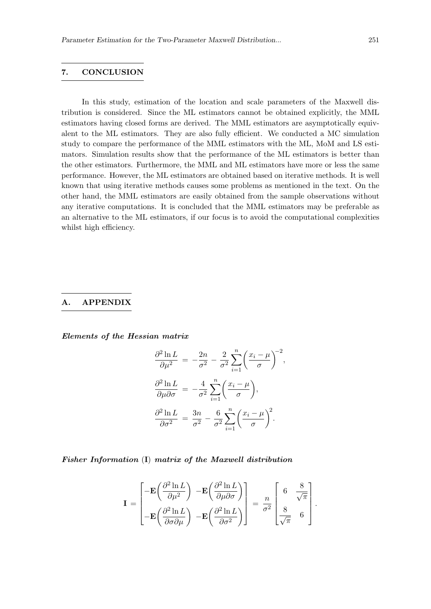# 7. CONCLUSION

In this study, estimation of the location and scale parameters of the Maxwell distribution is considered. Since the ML estimators cannot be obtained explicitly, the MML estimators having closed forms are derived. The MML estimators are asymptotically equivalent to the ML estimators. They are also fully efficient. We conducted a MC simulation study to compare the performance of the MML estimators with the ML, MoM and LS estimators. Simulation results show that the performance of the ML estimators is better than the other estimators. Furthermore, the MML and ML estimators have more or less the same performance. However, the ML estimators are obtained based on iterative methods. It is well known that using iterative methods causes some problems as mentioned in the text. On the other hand, the MML estimators are easily obtained from the sample observations without any iterative computations. It is concluded that the MML estimators may be preferable as an alternative to the ML estimators, if our focus is to avoid the computational complexities whilst high efficiency.

# <span id="page-14-0"></span>A. APPENDIX

Elements of the Hessian matrix

$$
\frac{\partial^2 \ln L}{\partial \mu^2} = -\frac{2n}{\sigma^2} - \frac{2}{\sigma^2} \sum_{i=1}^n \left(\frac{x_i - \mu}{\sigma}\right)^{-2},
$$

$$
\frac{\partial^2 \ln L}{\partial \mu \partial \sigma} = -\frac{4}{\sigma^2} \sum_{i=1}^n \left(\frac{x_i - \mu}{\sigma}\right),
$$

$$
\frac{\partial^2 \ln L}{\partial \sigma^2} = \frac{3n}{\sigma^2} - \frac{6}{\sigma^2} \sum_{i=1}^n \left(\frac{x_i - \mu}{\sigma}\right)^2.
$$

Fisher Information (I) matrix of the Maxwell distribution

$$
\mathbf{I} = \begin{bmatrix} -\mathbf{E} \left( \frac{\partial^2 \ln L}{\partial \mu^2} \right) & -\mathbf{E} \left( \frac{\partial^2 \ln L}{\partial \mu \partial \sigma} \right) \\ -\mathbf{E} \left( \frac{\partial^2 \ln L}{\partial \sigma \partial \mu} \right) & -\mathbf{E} \left( \frac{\partial^2 \ln L}{\partial \sigma^2} \right) \end{bmatrix} = \frac{n}{\sigma^2} \begin{bmatrix} 6 & \frac{8}{\sqrt{\pi}} \\ \frac{8}{\sqrt{\pi}} & 6 \end{bmatrix}.
$$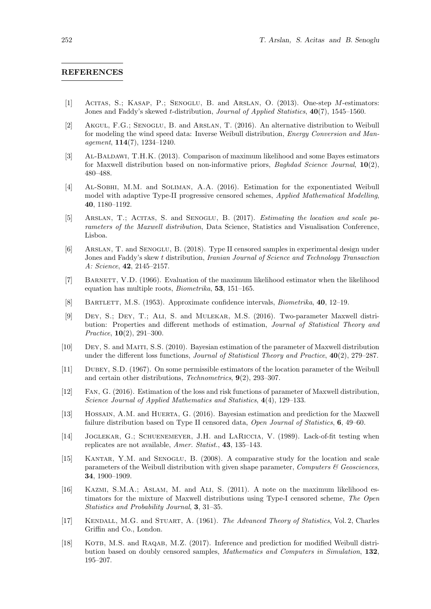#### REFERENCES

- <span id="page-15-9"></span>[1] Acitas, S.; Kasap, P.; Senoglu, B. and Arslan, O. (2013). One-step M-estimators: Jones and Faddy's skewed *t*-distribution, *Journal of Applied Statistics*, 40(7), 1545–1560.
- <span id="page-15-14"></span>[2] Akgul, F.G.; Senoglu, B. and Arslan, T. (2016). An alternative distribution to Weibull for modeling the wind speed data: Inverse Weibull distribution, Energy Conversion and Management, 114(7), 1234–1240.
- <span id="page-15-2"></span>[3] Al-Baldawi, T.H.K. (2013). Comparison of maximum likelihood and some Bayes estimators for Maxwell distribution based on non-informative priors, *Baghdad Science Journal*,  $\mathbf{10}(2)$ , 480–488.
- <span id="page-15-15"></span>[4] Al-Sobhi, M.M. and Soliman, A.A. (2016). Estimation for the exponentiated Weibull model with adaptive Type-II progressive censored schemes, Applied Mathematical Modelling, 40, 1180–1192.
- <span id="page-15-6"></span>[5] Arslan, T.; Acitas, S. and Senoglu, B. (2017). Estimating the location and scale parameters of the Maxwell distribution, Data Science, Statistics and Visualisation Conference, Lisboa.
- <span id="page-15-8"></span>[6] Arslan, T. and Senoglu, B. (2018). Type II censored samples in experimental design under Jones and Faddy's skew t distribution, Iranian Journal of Science and Technology Transaction A: Science, 42, 2145–2157.
- <span id="page-15-7"></span>[7] BARNETT, V.D. (1966). Evaluation of the maximum likelihood estimator when the likelihood equation has multiple roots, Biometrika, 53, 151–165.
- <span id="page-15-11"></span>[8] Bartlett, M.S. (1953). Approximate confidence intervals, Biometrika, 40, 12–19.
- <span id="page-15-5"></span>[9] Dey, S.; Dey, T.; Ali, S. and Mulekar, M.S. (2016). Two-parameter Maxwell distribution: Properties and different methods of estimation, Journal of Statistical Theory and Practice, 10(2), 291–300.
- <span id="page-15-0"></span>[10] Dey, S. and Maiti, S.S. (2010). Bayesian estimation of the parameter of Maxwell distribution under the different loss functions, *Journal of Statistical Theory and Practice*,  $40(2)$ , 279–287.
- <span id="page-15-12"></span>[11] Dubey, S.D. (1967). On some permissible estimators of the location parameter of the Weibull and certain other distributions, Technometrics, 9(2), 293–307.
- <span id="page-15-4"></span>[12] Fan, G. (2016). Estimation of the loss and risk functions of parameter of Maxwell distribution, Science Journal of Applied Mathematics and Statistics, 4(4), 129–133.
- <span id="page-15-3"></span>[13] Hossain, A.M. and Huerta, G. (2016). Bayesian estimation and prediction for the Maxwell failure distribution based on Type II censored data, Open Journal of Statistics, 6, 49–60.
- <span id="page-15-16"></span>[14] Joglekar, G.; Schuenemeyer, J.H. and LaRiccia, V. (1989). Lack-of-fit testing when replicates are not available, Amer. Statist., 43, 135–143.
- <span id="page-15-13"></span>[15] KANTAR, Y.M. and SENOGLU, B. (2008). A comparative study for the location and scale parameters of the Weibull distribution with given shape parameter, Computers  $\mathcal{C}$  Geosciences, 34, 1900–1909.
- <span id="page-15-1"></span>[16] Kazmi, S.M.A.; Aslam, M. and Ali, S. (2011). A note on the maximum likelihood estimators for the mixture of Maxwell distributions using Type-I censored scheme, The Open Statistics and Probability Journal, 3, 31–35.
- <span id="page-15-10"></span>[17] KENDALL, M.G. and STUART, A. (1961). The Advanced Theory of Statistics, Vol. 2, Charles Griffin and Co., London.
- <span id="page-15-17"></span>[18] KOTB, M.S. and RAQAB, M.Z. (2017). Inference and prediction for modified Weibull distribution based on doubly censored samples, Mathematics and Computers in Simulation, 132, 195–207.